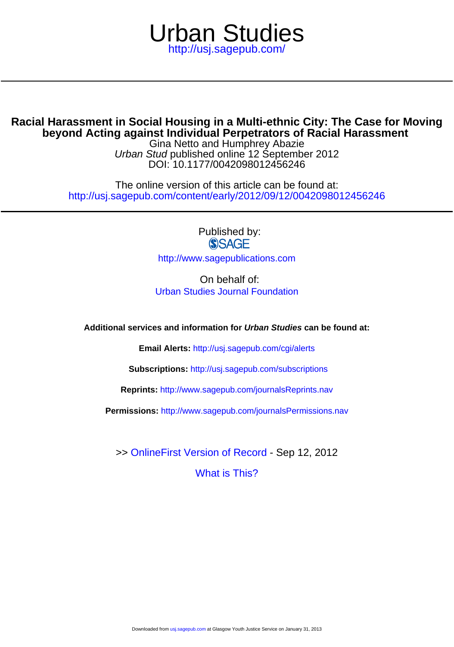

## **beyond Acting against Individual Perpetrators of Racial Harassment Racial Harassment in Social Housing in a Multi-ethnic City: The Case for Moving**

DOI: 10.1177/0042098012456246 Urban Stud published online 12 September 2012 Gina Netto and Humphrey Abazie

<http://usj.sagepub.com/content/early/2012/09/12/0042098012456246> The online version of this article can be found at:

> Published by:<br>
> SAGE <http://www.sagepublications.com>

On behalf of: [Urban Studies Journal Foundation](http://www.urbanstudiesfoundation.org/)

**Additional services and information for Urban Studies can be found at:**

**Email Alerts:** <http://usj.sagepub.com/cgi/alerts>

**Subscriptions:** <http://usj.sagepub.com/subscriptions>

**Reprints:** <http://www.sagepub.com/journalsReprints.nav>

**Permissions:** <http://www.sagepub.com/journalsPermissions.nav>

>> [OnlineFirst Version of Record -](http://usj.sagepub.com/content/early/2012/09/12/0042098012456246.full.pdf) Sep 12, 2012

[What is This?](http://online.sagepub.com/site/sphelp/vorhelp.xhtml)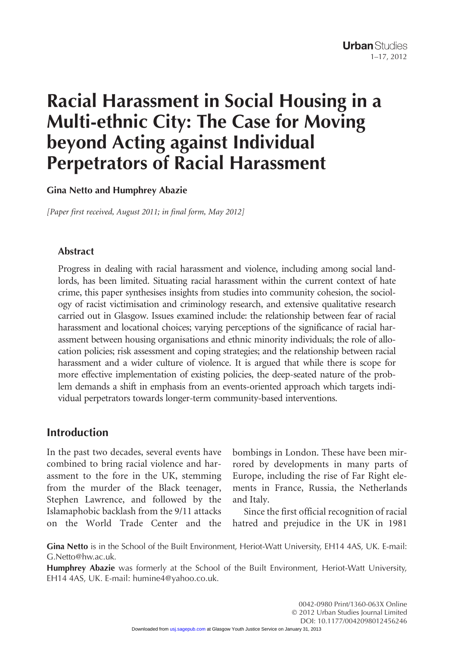**Urban** Studies 1–17, 2012

# Racial Harassment in Social Housing in a Multi-ethnic City: The Case for Moving beyond Acting against Individual Perpetrators of Racial Harassment

#### Gina Netto and Humphrey Abazie

[Paper first received, August 2011; in final form, May 2012]

#### Abstract

Progress in dealing with racial harassment and violence, including among social landlords, has been limited. Situating racial harassment within the current context of hate crime, this paper synthesises insights from studies into community cohesion, the sociology of racist victimisation and criminology research, and extensive qualitative research carried out in Glasgow. Issues examined include: the relationship between fear of racial harassment and locational choices; varying perceptions of the significance of racial harassment between housing organisations and ethnic minority individuals; the role of allocation policies; risk assessment and coping strategies; and the relationship between racial harassment and a wider culture of violence. It is argued that while there is scope for more effective implementation of existing policies, the deep-seated nature of the problem demands a shift in emphasis from an events-oriented approach which targets individual perpetrators towards longer-term community-based interventions.

## Introduction

In the past two decades, several events have combined to bring racial violence and harassment to the fore in the UK, stemming from the murder of the Black teenager, Stephen Lawrence, and followed by the Islamaphobic backlash from the 9/11 attacks on the World Trade Cen[ter and](http://usj.sagepub.com/) the bombings in London. These have been mirrored by developments in many parts of Europe, including the rise of Far Right elements in France, Russia, the Netherlands and Italy.

Since the first official recognition of racial hatred and prejudice in the UK in 1981

Gina Netto is in the School of the Built Environment, Heriot-Watt University, EH14 4AS, UK. E-mail: G.Netto@hw.ac.uk.

Humphrey Abazie was formerly at the School of the Built Environment, Heriot-Watt University, EH14 4AS, UK. E-mail: humine4@yahoo.co.uk.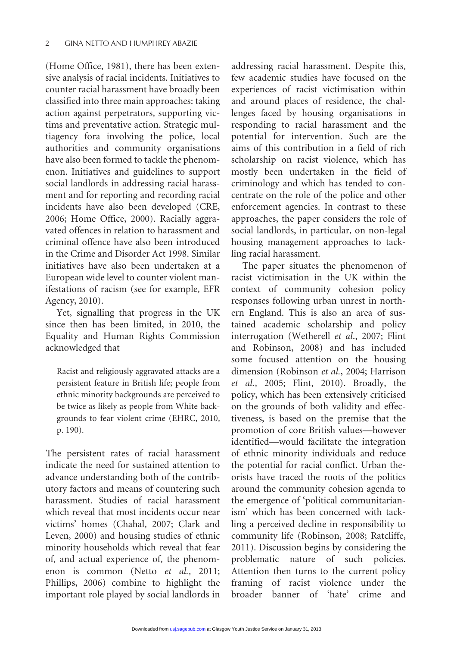(Home Office, 1981), there has been extensive analysis of racial incidents. Initiatives to counter racial harassment have broadly been classified into three main approaches: taking action against perpetrators, supporting victims and preventative action. Strategic multiagency fora involving the police, local authorities and community organisations have also been formed to tackle the phenomenon. Initiatives and guidelines to support social landlords in addressing racial harassment and for reporting and recording racial incidents have also been developed (CRE, 2006; Home Office, 2000). Racially aggravated offences in relation to harassment and criminal offence have also been introduced in the Crime and Disorder Act 1998. Similar initiatives have also been undertaken at a European wide level to counter violent manifestations of racism (see for example, EFR Agency, 2010).

Yet, signalling that progress in the UK since then has been limited, in 2010, the Equality and Human Rights Commission acknowledged that

Racist and religiously aggravated attacks are a persistent feature in British life; people from ethnic minority backgrounds are perceived to be twice as likely as people from White backgrounds to fear violent crime (EHRC, 2010, p. 190).

The persistent rates of racial harassment indicate the need for sustained attention to advance understanding both of the contributory factors and means of countering such harassment. Studies of racial harassment which reveal that most incidents occur near victims' homes (Chahal, 200[7; Clark a](http://usj.sagepub.com/)nd Leven, 2000) and housing studies of ethnic minority households which reveal that fear of, and actual experience of, the phenomenon is common (Netto et al., 2011; Phillips, 2006) combine to highlight the important role played by social landlords in addressing racial harassment. Despite this, few academic studies have focused on the experiences of racist victimisation within and around places of residence, the challenges faced by housing organisations in responding to racial harassment and the potential for intervention. Such are the aims of this contribution in a field of rich scholarship on racist violence, which has mostly been undertaken in the field of criminology and which has tended to concentrate on the role of the police and other enforcement agencies. In contrast to these approaches, the paper considers the role of social landlords, in particular, on non-legal housing management approaches to tackling racial harassment.

The paper situates the phenomenon of racist victimisation in the UK within the context of community cohesion policy responses following urban unrest in northern England. This is also an area of sustained academic scholarship and policy interrogation (Wetherell et al., 2007; Flint and Robinson, 2008) and has included some focused attention on the housing dimension (Robinson et al., 2004; Harrison et al., 2005; Flint, 2010). Broadly, the policy, which has been extensively criticised on the grounds of both validity and effectiveness, is based on the premise that the promotion of core British values—however identified—would facilitate the integration of ethnic minority individuals and reduce the potential for racial conflict. Urban theorists have traced the roots of the politics around the community cohesion agenda to the emergence of 'political communitarianism' which has been concerned with tackling a perceived decline in responsibility to community life (Robinson, 2008; Ratcliffe, 2011). Discussion begins by considering the problematic nature of such policies. Attention then turns to the current policy framing of racist violence under the broader banner of 'hate' crime and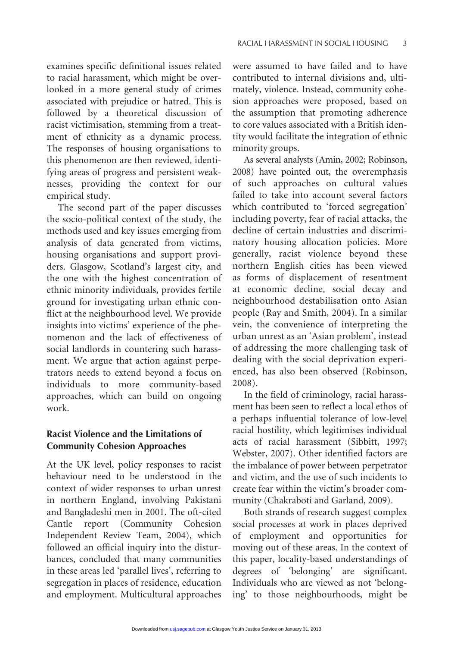examines specific definitional issues related to racial harassment, which might be overlooked in a more general study of crimes associated with prejudice or hatred. This is followed by a theoretical discussion of racist victimisation, stemming from a treatment of ethnicity as a dynamic process. The responses of housing organisations to this phenomenon are then reviewed, identifying areas of progress and persistent weaknesses, providing the context for our empirical study.

The second part of the paper discusses the socio-political context of the study, the methods used and key issues emerging from analysis of data generated from victims, housing organisations and support providers. Glasgow, Scotland's largest city, and the one with the highest concentration of ethnic minority individuals, provides fertile ground for investigating urban ethnic conflict at the neighbourhood level. We provide insights into victims' experience of the phenomenon and the lack of effectiveness of social landlords in countering such harassment. We argue that action against perpetrators needs to extend beyond a focus on individuals to more community-based approaches, which can build on ongoing work.

## Racist Violence and the Limitations of Community Cohesion Approaches

At the UK level, policy responses to racist behaviour need to be understood in the context of wider responses to urban unrest in northern England, involving Pakistani and Bangladeshi men in 2001. The oft-cited Cantle report (Communit[y Cohes](http://usj.sagepub.com/)ion Independent Review Team, 2004), which followed an official inquiry into the disturbances, concluded that many communities in these areas led 'parallel lives', referring to segregation in places of residence, education and employment. Multicultural approaches

were assumed to have failed and to have contributed to internal divisions and, ultimately, violence. Instead, community cohesion approaches were proposed, based on the assumption that promoting adherence to core values associated with a British identity would facilitate the integration of ethnic minority groups.

As several analysts (Amin, 2002; Robinson, 2008) have pointed out, the overemphasis of such approaches on cultural values failed to take into account several factors which contributed to 'forced segregation' including poverty, fear of racial attacks, the decline of certain industries and discriminatory housing allocation policies. More generally, racist violence beyond these northern English cities has been viewed as forms of displacement of resentment at economic decline, social decay and neighbourhood destabilisation onto Asian people (Ray and Smith, 2004). In a similar vein, the convenience of interpreting the urban unrest as an 'Asian problem', instead of addressing the more challenging task of dealing with the social deprivation experienced, has also been observed (Robinson, 2008).

In the field of criminology, racial harassment has been seen to reflect a local ethos of a perhaps influential tolerance of low-level racial hostility, which legitimises individual acts of racial harassment (Sibbitt, 1997; Webster, 2007). Other identified factors are the imbalance of power between perpetrator and victim, and the use of such incidents to create fear within the victim's broader community (Chakraboti and Garland, 2009).

Both strands of research suggest complex social processes at work in places deprived of employment and opportunities for moving out of these areas. In the context of this paper, locality-based understandings of degrees of 'belonging' are significant. Individuals who are viewed as not 'belonging' to those neighbourhoods, might be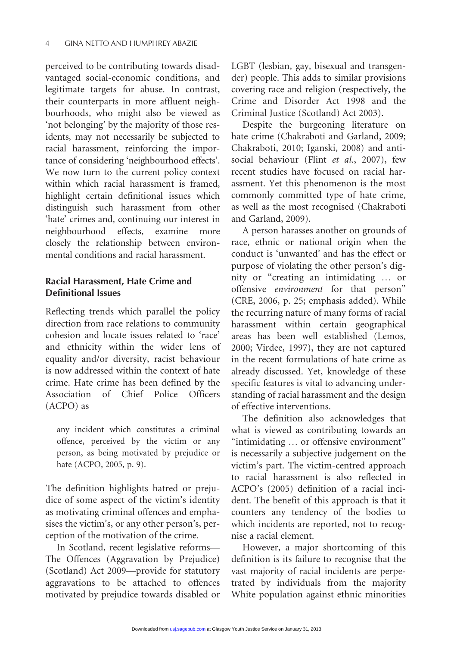perceived to be contributing towards disadvantaged social-economic conditions, and legitimate targets for abuse. In contrast, their counterparts in more affluent neighbourhoods, who might also be viewed as 'not belonging' by the majority of those residents, may not necessarily be subjected to racial harassment, reinforcing the importance of considering 'neighbourhood effects'. We now turn to the current policy context within which racial harassment is framed, highlight certain definitional issues which distinguish such harassment from other 'hate' crimes and, continuing our interest in neighbourhood effects, examine more closely the relationship between environmental conditions and racial harassment.

## Racial Harassment, Hate Crime and Definitional Issues

Reflecting trends which parallel the policy direction from race relations to community cohesion and locate issues related to 'race' and ethnicity within the wider lens of equality and/or diversity, racist behaviour is now addressed within the context of hate crime. Hate crime has been defined by the Association of Chief Police Officers (ACPO) as

any incident which constitutes a criminal offence, perceived by the victim or any person, as being motivated by prejudice or hate (ACPO, 2005, p. 9).

The definition highlights hatred or prejudice of some aspect of the victim's identity as motivating criminal offences and emphasises the victim's, or any other [person's, p](http://usj.sagepub.com/)erception of the motivation of the crime.

In Scotland, recent legislative reforms— The Offences (Aggravation by Prejudice) (Scotland) Act 2009—provide for statutory aggravations to be attached to offences motivated by prejudice towards disabled or

LGBT (lesbian, gay, bisexual and transgender) people. This adds to similar provisions covering race and religion (respectively, the Crime and Disorder Act 1998 and the Criminal Justice (Scotland) Act 2003).

Despite the burgeoning literature on hate crime (Chakraboti and Garland, 2009; Chakraboti, 2010; Iganski, 2008) and antisocial behaviour (Flint et al., 2007), few recent studies have focused on racial harassment. Yet this phenomenon is the most commonly committed type of hate crime, as well as the most recognised (Chakraboti and Garland, 2009).

A person harasses another on grounds of race, ethnic or national origin when the conduct is 'unwanted' and has the effect or purpose of violating the other person's dignity or "creating an intimidating ... or offensive environment for that person'' (CRE, 2006, p. 25; emphasis added). While the recurring nature of many forms of racial harassment within certain geographical areas has been well established (Lemos, 2000; Virdee, 1997), they are not captured in the recent formulations of hate crime as already discussed. Yet, knowledge of these specific features is vital to advancing understanding of racial harassment and the design of effective interventions.

The definition also acknowledges that what is viewed as contributing towards an "intimidating ... or offensive environment" is necessarily a subjective judgement on the victim's part. The victim-centred approach to racial harassment is also reflected in ACPO's (2005) definition of a racial incident. The benefit of this approach is that it counters any tendency of the bodies to which incidents are reported, not to recognise a racial element.

However, a major shortcoming of this definition is its failure to recognise that the vast majority of racial incidents are perpetrated by individuals from the majority White population against ethnic minorities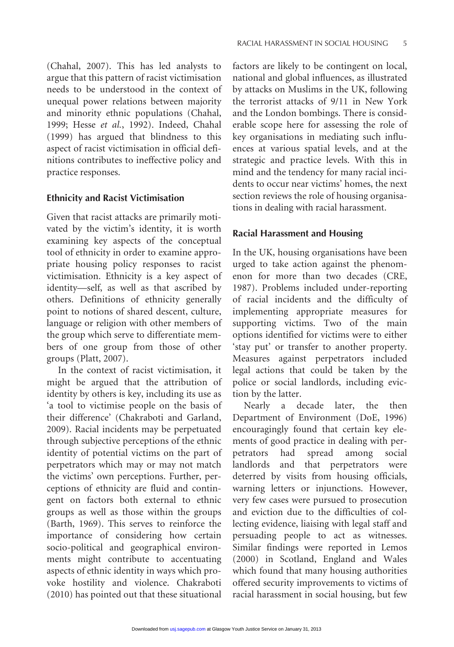(Chahal, 2007). This has led analysts to argue that this pattern of racist victimisation needs to be understood in the context of unequal power relations between majority and minority ethnic populations (Chahal, 1999; Hesse et al., 1992). Indeed, Chahal (1999) has argued that blindness to this aspect of racist victimisation in official definitions contributes to ineffective policy and practice responses.

## Ethnicity and Racist Victimisation

Given that racist attacks are primarily motivated by the victim's identity, it is worth examining key aspects of the conceptual tool of ethnicity in order to examine appropriate housing policy responses to racist victimisation. Ethnicity is a key aspect of identity—self, as well as that ascribed by others. Definitions of ethnicity generally point to notions of shared descent, culture, language or religion with other members of the group which serve to differentiate members of one group from those of other groups (Platt, 2007).

In the context of racist victimisation, it might be argued that the attribution of identity by others is key, including its use as 'a tool to victimise people on the basis of their difference' (Chakraboti and Garland, 2009). Racial incidents may be perpetuated through subjective perceptions of the ethnic identity of potential victims on the part of perpetrators which may or may not match the victims' own perceptions. Further, perceptions of ethnicity are fluid and contingent on factors both external to ethnic groups as well as those within the groups (Barth, 1969). This serves to [reinforce](http://usj.sagepub.com/) the importance of considering how certain socio-political and geographical environments might contribute to accentuating aspects of ethnic identity in ways which provoke hostility and violence. Chakraboti (2010) has pointed out that these situational

factors are likely to be contingent on local, national and global influences, as illustrated by attacks on Muslims in the UK, following the terrorist attacks of 9/11 in New York and the London bombings. There is considerable scope here for assessing the role of key organisations in mediating such influences at various spatial levels, and at the strategic and practice levels. With this in mind and the tendency for many racial incidents to occur near victims' homes, the next section reviews the role of housing organisations in dealing with racial harassment.

## Racial Harassment and Housing

In the UK, housing organisations have been urged to take action against the phenomenon for more than two decades (CRE, 1987). Problems included under-reporting of racial incidents and the difficulty of implementing appropriate measures for supporting victims. Two of the main options identified for victims were to either 'stay put' or transfer to another property. Measures against perpetrators included legal actions that could be taken by the police or social landlords, including eviction by the latter.

Nearly a decade later, the then Department of Environment (DoE, 1996) encouragingly found that certain key elements of good practice in dealing with perpetrators had spread among social landlords and that perpetrators were deterred by visits from housing officials, warning letters or injunctions. However, very few cases were pursued to prosecution and eviction due to the difficulties of collecting evidence, liaising with legal staff and persuading people to act as witnesses. Similar findings were reported in Lemos (2000) in Scotland, England and Wales which found that many housing authorities offered security improvements to victims of racial harassment in social housing, but few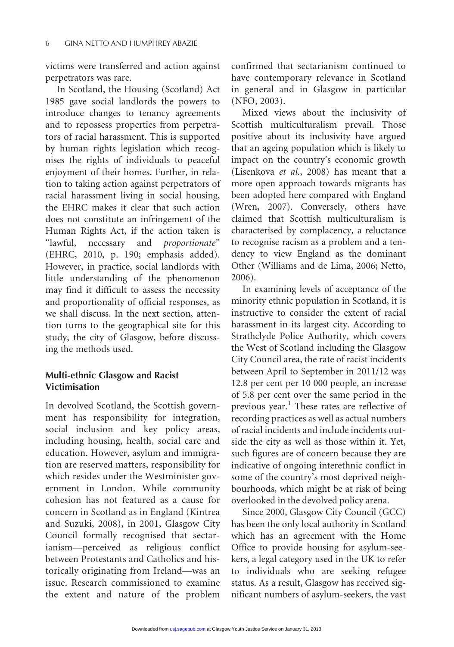victims were transferred and action against perpetrators was rare.

In Scotland, the Housing (Scotland) Act 1985 gave social landlords the powers to introduce changes to tenancy agreements and to repossess properties from perpetrators of racial harassment. This is supported by human rights legislation which recognises the rights of individuals to peaceful enjoyment of their homes. Further, in relation to taking action against perpetrators of racial harassment living in social housing, the EHRC makes it clear that such action does not constitute an infringement of the Human Rights Act, if the action taken is "lawful, necessary and proportionate" (EHRC, 2010, p. 190; emphasis added). However, in practice, social landlords with little understanding of the phenomenon may find it difficult to assess the necessity and proportionality of official responses, as we shall discuss. In the next section, attention turns to the geographical site for this study, the city of Glasgow, before discussing the methods used.

## Multi-ethnic Glasgow and Racist Victimisation

In devolved Scotland, the Scottish government has responsibility for integration, social inclusion and key policy areas, including housing, health, social care and education. However, asylum and immigration are reserved matters, responsibility for which resides under the Westminister government in London. While community cohesion has not featured as a cause for concern in Scotland as in England (Kintrea and Suzuki, 2008), in 2001, [Glasgow C](http://usj.sagepub.com/)ity Council formally recognised that sectarianism—perceived as religious conflict between Protestants and Catholics and historically originating from Ireland—was an issue. Research commissioned to examine the extent and nature of the problem

confirmed that sectarianism continued to have contemporary relevance in Scotland in general and in Glasgow in particular (NFO, 2003).

Mixed views about the inclusivity of Scottish multiculturalism prevail. Those positive about its inclusivity have argued that an ageing population which is likely to impact on the country's economic growth (Lisenkova et al., 2008) has meant that a more open approach towards migrants has been adopted here compared with England (Wren, 2007). Conversely, others have claimed that Scottish multiculturalism is characterised by complacency, a reluctance to recognise racism as a problem and a tendency to view England as the dominant Other (Williams and de Lima, 2006; Netto, 2006).

In examining levels of acceptance of the minority ethnic population in Scotland, it is instructive to consider the extent of racial harassment in its largest city. According to Strathclyde Police Authority, which covers the West of Scotland including the Glasgow City Council area, the rate of racist incidents between April to September in 2011/12 was 12.8 per cent per 10 000 people, an increase of 5.8 per cent over the same period in the previous year.<sup>1</sup> These rates are reflective of recording practices as well as actual numbers of racial incidents and include incidents outside the city as well as those within it. Yet, such figures are of concern because they are indicative of ongoing interethnic conflict in some of the country's most deprived neighbourhoods, which might be at risk of being overlooked in the devolved policy arena.

Since 2000, Glasgow City Council (GCC) has been the only local authority in Scotland which has an agreement with the Home Office to provide housing for asylum-seekers, a legal category used in the UK to refer to individuals who are seeking refugee status. As a result, Glasgow has received significant numbers of asylum-seekers, the vast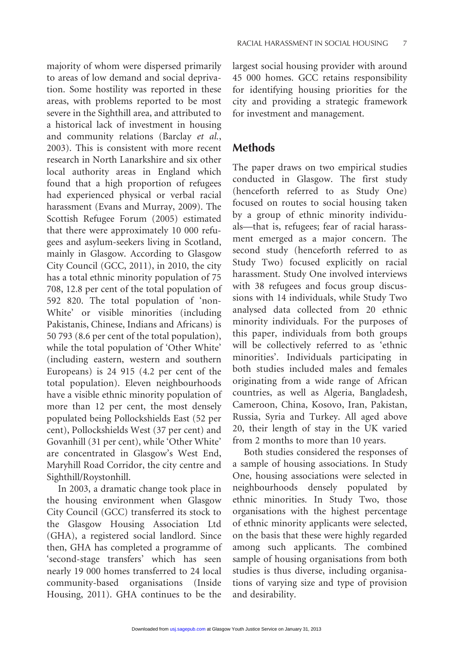majority of whom were dispersed primarily to areas of low demand and social deprivation. Some hostility was reported in these areas, with problems reported to be most severe in the Sighthill area, and attributed to a historical lack of investment in housing and community relations (Barclay et al., 2003). This is consistent with more recent research in North Lanarkshire and six other local authority areas in England which found that a high proportion of refugees had experienced physical or verbal racial harassment (Evans and Murray, 2009). The Scottish Refugee Forum (2005) estimated that there were approximately 10 000 refugees and asylum-seekers living in Scotland, mainly in Glasgow. According to Glasgow City Council (GCC, 2011), in 2010, the city has a total ethnic minority population of 75 708, 12.8 per cent of the total population of 592 820. The total population of 'non-White' or visible minorities (including Pakistanis, Chinese, Indians and Africans) is 50 793 (8.6 per cent of the total population), while the total population of 'Other White' (including eastern, western and southern Europeans) is 24 915 (4.2 per cent of the total population). Eleven neighbourhoods have a visible ethnic minority population of more than 12 per cent, the most densely populated being Pollockshields East (52 per cent), Pollockshields West (37 per cent) and Govanhill (31 per cent), while 'Other White' are concentrated in Glasgow's West End, Maryhill Road Corridor, the city centre and Sighthill/Roystonhill.

In 2003, a dramatic change took place in the housing environment when Glasgow City Council (GCC) transferred its stock to the Glasgow Housing Ass[ociation](http://usj.sagepub.com/) Ltd (GHA), a registered social landlord. Since then, GHA has completed a programme of 'second-stage transfers' which has seen nearly 19 000 homes transferred to 24 local community-based organisations (Inside Housing, 2011). GHA continues to be the

largest social housing provider with around 45 000 homes. GCC retains responsibility for identifying housing priorities for the city and providing a strategic framework for investment and management.

## Methods

The paper draws on two empirical studies conducted in Glasgow. The first study (henceforth referred to as Study One) focused on routes to social housing taken by a group of ethnic minority individuals—that is, refugees; fear of racial harassment emerged as a major concern. The second study (henceforth referred to as Study Two) focused explicitly on racial harassment. Study One involved interviews with 38 refugees and focus group discussions with 14 individuals, while Study Two analysed data collected from 20 ethnic minority individuals. For the purposes of this paper, individuals from both groups will be collectively referred to as 'ethnic minorities'. Individuals participating in both studies included males and females originating from a wide range of African countries, as well as Algeria, Bangladesh, Cameroon, China, Kosovo, Iran, Pakistan, Russia, Syria and Turkey. All aged above 20, their length of stay in the UK varied from 2 months to more than 10 years.

Both studies considered the responses of a sample of housing associations. In Study One, housing associations were selected in neighbourhoods densely populated by ethnic minorities. In Study Two, those organisations with the highest percentage of ethnic minority applicants were selected, on the basis that these were highly regarded among such applicants. The combined sample of housing organisations from both studies is thus diverse, including organisations of varying size and type of provision and desirability.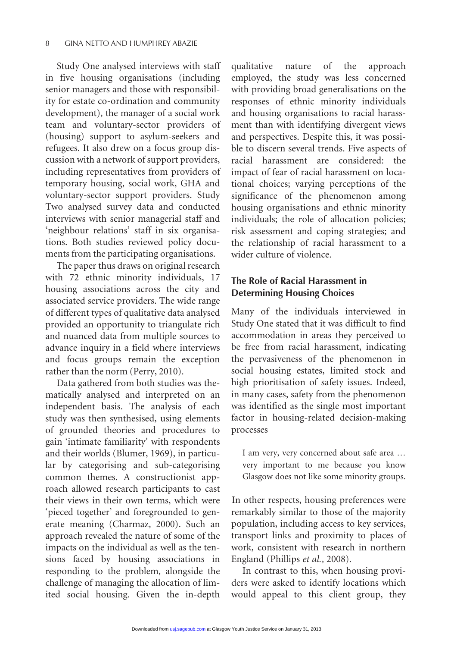Study One analysed interviews with staff in five housing organisations (including senior managers and those with responsibility for estate co-ordination and community development), the manager of a social work team and voluntary-sector providers of (housing) support to asylum-seekers and refugees. It also drew on a focus group discussion with a network of support providers, including representatives from providers of temporary housing, social work, GHA and voluntary-sector support providers. Study Two analysed survey data and conducted interviews with senior managerial staff and 'neighbour relations' staff in six organisations. Both studies reviewed policy documents from the participating organisations.

The paper thus draws on original research with 72 ethnic minority individuals, 17 housing associations across the city and associated service providers. The wide range of different types of qualitative data analysed provided an opportunity to triangulate rich and nuanced data from multiple sources to advance inquiry in a field where interviews and focus groups remain the exception rather than the norm (Perry, 2010).

Data gathered from both studies was thematically analysed and interpreted on an independent basis. The analysis of each study was then synthesised, using elements of grounded theories and procedures to gain 'intimate familiarity' with respondents and their worlds (Blumer, 1969), in particular by categorising and sub-categorising common themes. A constructionist approach allowed research participants to cast their views in their own terms, which were 'pieced together' and foregrounded to generate meaning (Charmaz, 20[00\). Such](http://usj.sagepub.com/) an approach revealed the nature of some of the impacts on the individual as well as the tensions faced by housing associations in responding to the problem, alongside the challenge of managing the allocation of limited social housing. Given the in-depth qualitative nature of the approach employed, the study was less concerned with providing broad generalisations on the responses of ethnic minority individuals and housing organisations to racial harassment than with identifying divergent views and perspectives. Despite this, it was possible to discern several trends. Five aspects of racial harassment are considered: the impact of fear of racial harassment on locational choices; varying perceptions of the significance of the phenomenon among housing organisations and ethnic minority individuals; the role of allocation policies; risk assessment and coping strategies; and the relationship of racial harassment to a wider culture of violence.

## The Role of Racial Harassment in Determining Housing Choices

Many of the individuals interviewed in Study One stated that it was difficult to find accommodation in areas they perceived to be free from racial harassment, indicating the pervasiveness of the phenomenon in social housing estates, limited stock and high prioritisation of safety issues. Indeed, in many cases, safety from the phenomenon was identified as the single most important factor in housing-related decision-making processes

I am very, very concerned about safe area ... very important to me because you know Glasgow does not like some minority groups.

In other respects, housing preferences were remarkably similar to those of the majority population, including access to key services, transport links and proximity to places of work, consistent with research in northern England (Phillips et al., 2008).

In contrast to this, when housing providers were asked to identify locations which would appeal to this client group, they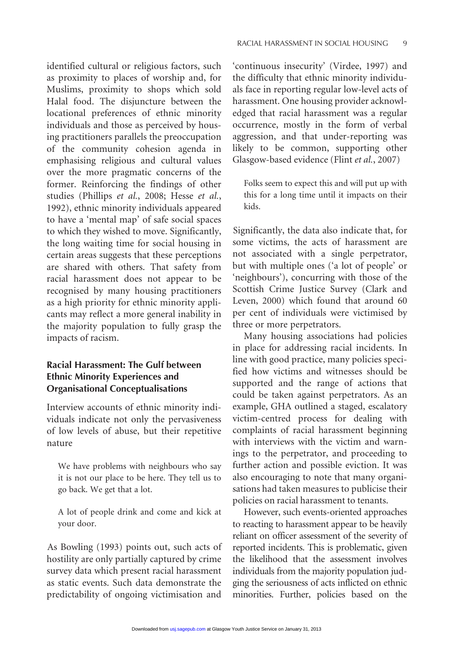identified cultural or religious factors, such as proximity to places of worship and, for Muslims, proximity to shops which sold Halal food. The disjuncture between the locational preferences of ethnic minority individuals and those as perceived by housing practitioners parallels the preoccupation of the community cohesion agenda in emphasising religious and cultural values over the more pragmatic concerns of the former. Reinforcing the findings of other studies (Phillips et al., 2008; Hesse et al., 1992), ethnic minority individuals appeared to have a 'mental map' of safe social spaces to which they wished to move. Significantly, the long waiting time for social housing in certain areas suggests that these perceptions are shared with others. That safety from racial harassment does not appear to be recognised by many housing practitioners as a high priority for ethnic minority applicants may reflect a more general inability in the majority population to fully grasp the impacts of racism.

## Racial Harassment: The Gulf between Ethnic Minority Experiences and Organisational Conceptualisations

Interview accounts of ethnic minority individuals indicate not only the pervasiveness of low levels of abuse, but their repetitive nature

We have problems with neighbours who say it is not our place to be here. They tell us to go back. We get that a lot.

A lot of people drink and come and kick at your door.

As Bowling (1993) points out, such acts of hostility are only partially captured by crime survey data which present racial harassment as static events. Such data demonstrate the predictability of ongoing victimisation and

'continuous insecurity' (Virdee, 1997) and the difficulty that ethnic minority individuals face in reporting regular low-level acts of harassment. One housing provider acknowledged that racial harassment was a regular occurrence, mostly in the form of verbal aggression, and that under-reporting was likely to be common, supporting other Glasgow-based evidence (Flint et al., 2007)

Folks seem to expect this and will put up with this for a long time until it impacts on their kids.

Significantly, the data also indicate that, for some victims, the acts of harassment are not associated with a single perpetrator, but with multiple ones ('a lot of people' or 'neighbours'), concurring with those of the Scottish Crime Justice Survey (Clark and Leven, 2000) which found that around 60 per cent of individuals were victimised by three or more perpetrators.

Many housing associations had policies in place for addressing racial incidents. In line with good practice, many policies specified how victims and witnesses should be supported and the range of actions that could be taken against perpetrators. As an example, GHA outlined a staged, escalatory victim-centred process for dealing with complaints of racial harassment beginning with interviews with the victim and warnings to the perpetrator, and proceeding to further action and possible eviction. It was also encouraging to note that many organisations had taken measures to publicise their policies on racial harassment to tenants.

However, such events-oriented approaches to reacting to harassment appear to be heavily reliant on officer assessment of the severity of reported incidents. This is problematic, given the likelihood that the assessment involves individuals from the majority population judging the seriousness of acts inflicted on ethnic minorities. Further, policies based on the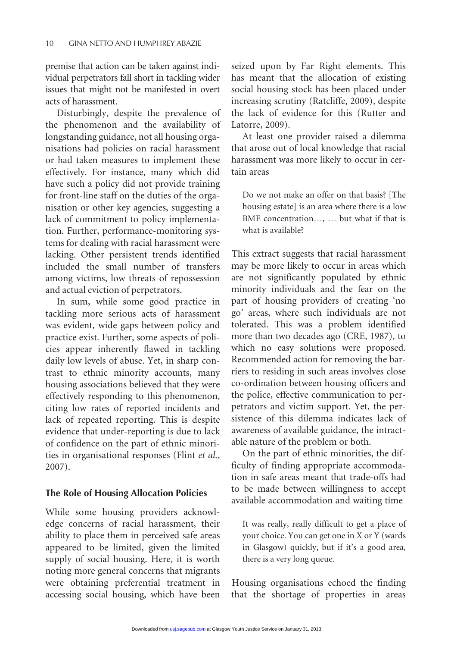premise that action can be taken against individual perpetrators fall short in tackling wider issues that might not be manifested in overt acts of harassment.

Disturbingly, despite the prevalence of the phenomenon and the availability of longstanding guidance, not all housing organisations had policies on racial harassment or had taken measures to implement these effectively. For instance, many which did have such a policy did not provide training for front-line staff on the duties of the organisation or other key agencies, suggesting a lack of commitment to policy implementation. Further, performance-monitoring systems for dealing with racial harassment were lacking. Other persistent trends identified included the small number of transfers among victims, low threats of repossession and actual eviction of perpetrators.

In sum, while some good practice in tackling more serious acts of harassment was evident, wide gaps between policy and practice exist. Further, some aspects of policies appear inherently flawed in tackling daily low levels of abuse. Yet, in sharp contrast to ethnic minority accounts, many housing associations believed that they were effectively responding to this phenomenon, citing low rates of reported incidents and lack of repeated reporting. This is despite evidence that under-reporting is due to lack of confidence on the part of ethnic minorities in organisational responses (Flint et al., 2007).

#### The Role of Housing Allocation Policies

While some housing providers acknowledge concerns of racial hara[ssment, th](http://usj.sagepub.com/)eir ability to place them in perceived safe areas appeared to be limited, given the limited supply of social housing. Here, it is worth noting more general concerns that migrants were obtaining preferential treatment in accessing social housing, which have been

seized upon by Far Right elements. This has meant that the allocation of existing social housing stock has been placed under increasing scrutiny (Ratcliffe, 2009), despite the lack of evidence for this (Rutter and Latorre, 2009).

At least one provider raised a dilemma that arose out of local knowledge that racial harassment was more likely to occur in certain areas

Do we not make an offer on that basis? [The housing estate] is an area where there is a low BME concentration..., ... but what if that is what is available?

This extract suggests that racial harassment may be more likely to occur in areas which are not significantly populated by ethnic minority individuals and the fear on the part of housing providers of creating 'no go' areas, where such individuals are not tolerated. This was a problem identified more than two decades ago (CRE, 1987), to which no easy solutions were proposed. Recommended action for removing the barriers to residing in such areas involves close co-ordination between housing officers and the police, effective communication to perpetrators and victim support. Yet, the persistence of this dilemma indicates lack of awareness of available guidance, the intractable nature of the problem or both.

On the part of ethnic minorities, the difficulty of finding appropriate accommodation in safe areas meant that trade-offs had to be made between willingness to accept available accommodation and waiting time

It was really, really difficult to get a place of your choice. You can get one in X or Y (wards in Glasgow) quickly, but if it's a good area, there is a very long queue.

Housing organisations echoed the finding that the shortage of properties in areas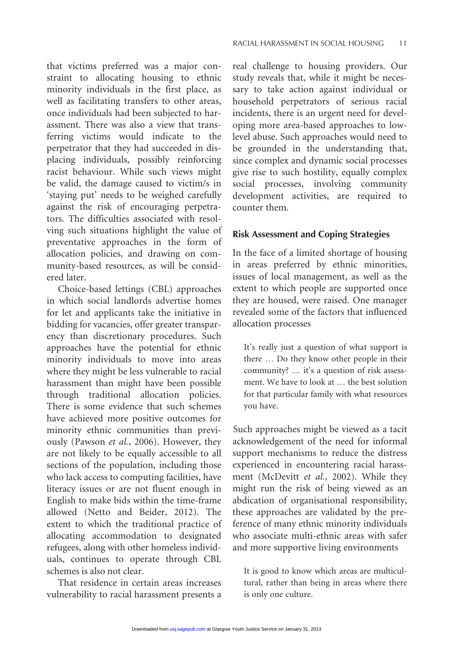that victims preferred was a major constraint to allocating housing to ethnic minority individuals in the first place, as well as facilitating transfers to other areas, once individuals had been subjected to harassment. There was also a view that transferring victims would indicate to the perpetrator that they had succeeded in displacing individuals, possibly reinforcing racist behaviour. While such views might be valid, the damage caused to victim/s in 'staying put' needs to be weighed carefully against the risk of encouraging perpetrators. The difficulties associated with resolving such situations highlight the value of preventative approaches in the form of allocation policies, and drawing on community-based resources, as will be considered later.

Choice-based lettings (CBL) approaches in which social landlords advertise homes for let and applicants take the initiative in bidding for vacancies, offer greater transparency than discretionary procedures. Such approaches have the potential for ethnic minority individuals to move into areas where they might be less vulnerable to racial harassment than might have been possible through traditional allocation policies. There is some evidence that such schemes have achieved more positive outcomes for minority ethnic communities than previously (Pawson et al., 2006). However, they are not likely to be equally accessible to all sections of the population, including those who lack access to computing facilities, have literacy issues or are not fluent enough in English to make bids within the time-frame allowed (Netto and Beider, 2012). The extent to which the tradition[al practice](http://usj.sagepub.com/) of allocating accommodation to designated refugees, along with other homeless individuals, continues to operate through CBL schemes is also not clear.

That residence in certain areas increases vulnerability to racial harassment presents a real challenge to housing providers. Our study reveals that, while it might be necessary to take action against individual or household perpetrators of serious racial incidents, there is an urgent need for developing more area-based approaches to lowlevel abuse. Such approaches would need to be grounded in the understanding that, since complex and dynamic social processes give rise to such hostility, equally complex social processes, involving community development activities, are required to counter them.

## Risk Assessment and Coping Strategies

In the face of a limited shortage of housing in areas preferred by ethnic minorities, issues of local management, as well as the extent to which people are supported once they are housed, were raised. One manager revealed some of the factors that influenced allocation processes

It's really just a question of what support is there ... Do they know other people in their community? ... it's a question of risk assessment. We have to look at ... the best solution for that particular family with what resources you have.

Such approaches might be viewed as a tacit acknowledgement of the need for informal support mechanisms to reduce the distress experienced in encountering racial harassment (McDevitt et al., 2002). While they might run the risk of being viewed as an abdication of organisational responsibility, these approaches are validated by the preference of many ethnic minority individuals who associate multi-ethnic areas with safer and more supportive living environments

It is good to know which areas are multicultural, rather than being in areas where there is only one culture.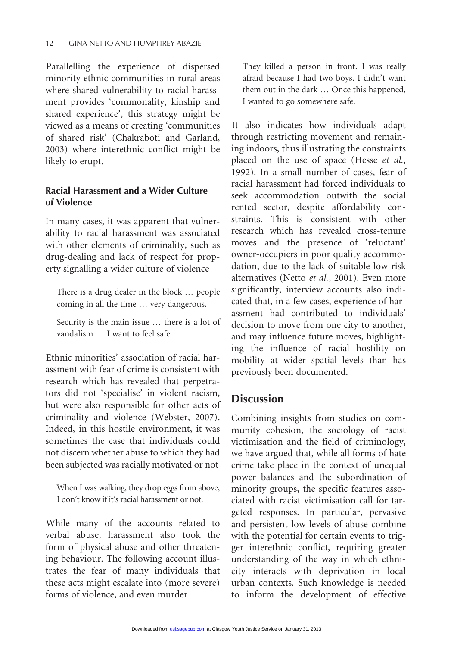Parallelling the experience of dispersed minority ethnic communities in rural areas where shared vulnerability to racial harassment provides 'commonality, kinship and shared experience', this strategy might be viewed as a means of creating 'communities of shared risk' (Chakraboti and Garland, 2003) where interethnic conflict might be likely to erupt.

## Racial Harassment and a Wider Culture of Violence

In many cases, it was apparent that vulnerability to racial harassment was associated with other elements of criminality, such as drug-dealing and lack of respect for property signalling a wider culture of violence

There is a drug dealer in the block ... people coming in all the time ... very dangerous.

Security is the main issue ... there is a lot of vandalism ... I want to feel safe.

Ethnic minorities' association of racial harassment with fear of crime is consistent with research which has revealed that perpetrators did not 'specialise' in violent racism, but were also responsible for other acts of criminality and violence (Webster, 2007). Indeed, in this hostile environment, it was sometimes the case that individuals could not discern whether abuse to which they had been subjected was racially motivated or not

When I was walking, they drop eggs from above, I don't know if it's racial harassment or not.

While many of the accoun[ts related](http://usj.sagepub.com/) to verbal abuse, harassment also took the form of physical abuse and other threatening behaviour. The following account illustrates the fear of many individuals that these acts might escalate into (more severe) forms of violence, and even murder

They killed a person in front. I was really afraid because I had two boys. I didn't want them out in the dark ... Once this happened, I wanted to go somewhere safe.

It also indicates how individuals adapt through restricting movement and remaining indoors, thus illustrating the constraints placed on the use of space (Hesse et al., 1992). In a small number of cases, fear of racial harassment had forced individuals to seek accommodation outwith the social rented sector, despite affordability constraints. This is consistent with other research which has revealed cross-tenure moves and the presence of 'reluctant' owner-occupiers in poor quality accommodation, due to the lack of suitable low-risk alternatives (Netto et al., 2001). Even more significantly, interview accounts also indicated that, in a few cases, experience of harassment had contributed to individuals' decision to move from one city to another, and may influence future moves, highlighting the influence of racial hostility on mobility at wider spatial levels than has previously been documented.

## **Discussion**

Combining insights from studies on community cohesion, the sociology of racist victimisation and the field of criminology, we have argued that, while all forms of hate crime take place in the context of unequal power balances and the subordination of minority groups, the specific features associated with racist victimisation call for targeted responses. In particular, pervasive and persistent low levels of abuse combine with the potential for certain events to trigger interethnic conflict, requiring greater understanding of the way in which ethnicity interacts with deprivation in local urban contexts. Such knowledge is needed to inform the development of effective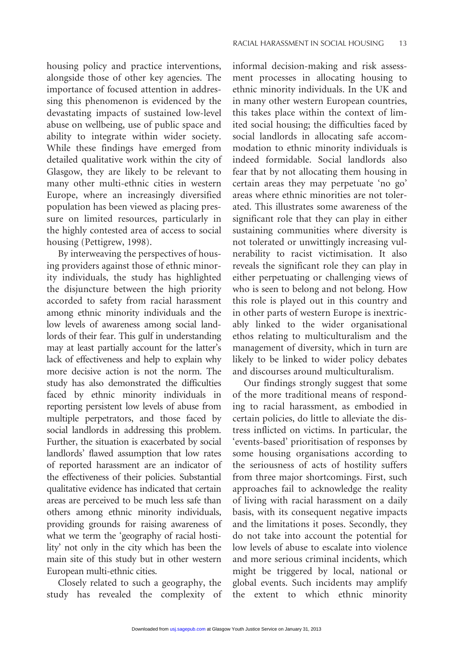housing policy and practice interventions, alongside those of other key agencies. The importance of focused attention in addressing this phenomenon is evidenced by the devastating impacts of sustained low-level abuse on wellbeing, use of public space and ability to integrate within wider society. While these findings have emerged from detailed qualitative work within the city of Glasgow, they are likely to be relevant to many other multi-ethnic cities in western Europe, where an increasingly diversified population has been viewed as placing pressure on limited resources, particularly in the highly contested area of access to social housing (Pettigrew, 1998).

By interweaving the perspectives of housing providers against those of ethnic minority individuals, the study has highlighted the disjuncture between the high priority accorded to safety from racial harassment among ethnic minority individuals and the low levels of awareness among social landlords of their fear. This gulf in understanding may at least partially account for the latter's lack of effectiveness and help to explain why more decisive action is not the norm. The study has also demonstrated the difficulties faced by ethnic minority individuals in reporting persistent low levels of abuse from multiple perpetrators, and those faced by social landlords in addressing this problem. Further, the situation is exacerbated by social landlords' flawed assumption that low rates of reported harassment are an indicator of the effectiveness of their policies. Substantial qualitative evidence has indicated that certain areas are perceived to be much less safe than others among ethnic minority individuals, providing grounds for raising [awareness](http://usj.sagepub.com/) of what we term the 'geography of racial hostility' not only in the city which has been the main site of this study but in other western European multi-ethnic cities.

Closely related to such a geography, the study has revealed the complexity of informal decision-making and risk assessment processes in allocating housing to ethnic minority individuals. In the UK and in many other western European countries, this takes place within the context of limited social housing; the difficulties faced by social landlords in allocating safe accommodation to ethnic minority individuals is indeed formidable. Social landlords also fear that by not allocating them housing in certain areas they may perpetuate 'no go' areas where ethnic minorities are not tolerated. This illustrates some awareness of the significant role that they can play in either sustaining communities where diversity is not tolerated or unwittingly increasing vulnerability to racist victimisation. It also reveals the significant role they can play in either perpetuating or challenging views of who is seen to belong and not belong. How this role is played out in this country and in other parts of western Europe is inextricably linked to the wider organisational ethos relating to multiculturalism and the management of diversity, which in turn are likely to be linked to wider policy debates and discourses around multiculturalism.

Our findings strongly suggest that some of the more traditional means of responding to racial harassment, as embodied in certain policies, do little to alleviate the distress inflicted on victims. In particular, the 'events-based' prioritisation of responses by some housing organisations according to the seriousness of acts of hostility suffers from three major shortcomings. First, such approaches fail to acknowledge the reality of living with racial harassment on a daily basis, with its consequent negative impacts and the limitations it poses. Secondly, they do not take into account the potential for low levels of abuse to escalate into violence and more serious criminal incidents, which might be triggered by local, national or global events. Such incidents may amplify the extent to which ethnic minority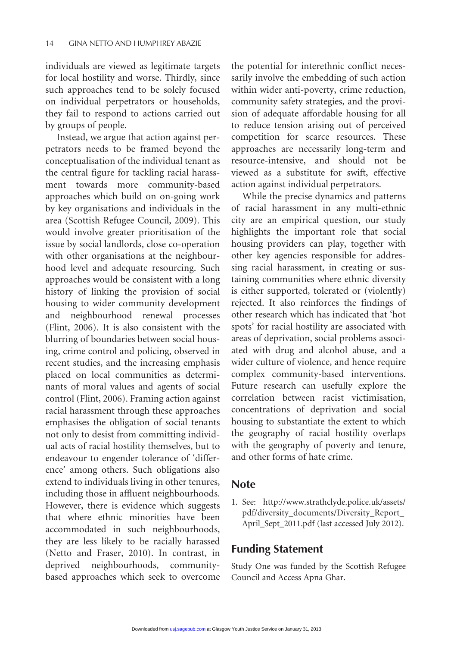individuals are viewed as legitimate targets for local hostility and worse. Thirdly, since such approaches tend to be solely focused on individual perpetrators or households, they fail to respond to actions carried out by groups of people.

Instead, we argue that action against perpetrators needs to be framed beyond the conceptualisation of the individual tenant as the central figure for tackling racial harassment towards more community-based approaches which build on on-going work by key organisations and individuals in the area (Scottish Refugee Council, 2009). This would involve greater prioritisation of the issue by social landlords, close co-operation with other organisations at the neighbourhood level and adequate resourcing. Such approaches would be consistent with a long history of linking the provision of social housing to wider community development and neighbourhood renewal processes (Flint, 2006). It is also consistent with the blurring of boundaries between social housing, crime control and policing, observed in recent studies, and the increasing emphasis placed on local communities as determinants of moral values and agents of social control (Flint, 2006). Framing action against racial harassment through these approaches emphasises the obligation of social tenants not only to desist from committing individual acts of racial hostility themselves, but to endeavour to engender tolerance of 'difference' among others. Such obligations also extend to individuals living in other tenures, including those in affluent neighbourhoods. However, there is evidence which suggests that where ethnic minorities have been accommodated in such nei[ghbourhoo](http://usj.sagepub.com/)ds, they are less likely to be racially harassed (Netto and Fraser, 2010). In contrast, in deprived neighbourhoods, communitybased approaches which seek to overcome the potential for interethnic conflict necessarily involve the embedding of such action within wider anti-poverty, crime reduction, community safety strategies, and the provision of adequate affordable housing for all to reduce tension arising out of perceived competition for scarce resources. These approaches are necessarily long-term and resource-intensive, and should not be viewed as a substitute for swift, effective action against individual perpetrators.

While the precise dynamics and patterns of racial harassment in any multi-ethnic city are an empirical question, our study highlights the important role that social housing providers can play, together with other key agencies responsible for addressing racial harassment, in creating or sustaining communities where ethnic diversity is either supported, tolerated or (violently) rejected. It also reinforces the findings of other research which has indicated that 'hot spots' for racial hostility are associated with areas of deprivation, social problems associated with drug and alcohol abuse, and a wider culture of violence, and hence require complex community-based interventions. Future research can usefully explore the correlation between racist victimisation, concentrations of deprivation and social housing to substantiate the extent to which the geography of racial hostility overlaps with the geography of poverty and tenure, and other forms of hate crime.

## Note

1. See: http://www.strathclyde.police.uk/assets/ pdf/diversity\_documents/Diversity\_Report\_ April\_Sept\_2011.pdf (last accessed July 2012).

## Funding Statement

Study One was funded by the Scottish Refugee Council and Access Apna Ghar.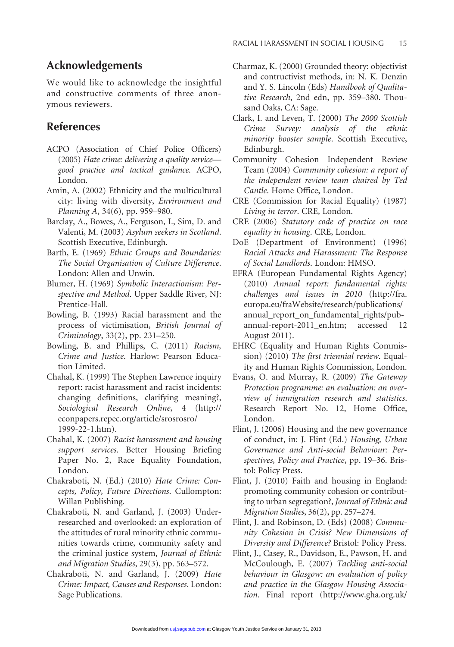## Acknowledgements

We would like to acknowledge the insightful and constructive comments of three anonymous reviewers.

## References

- ACPO (Association of Chief Police Officers) (2005) Hate crime: delivering a quality service good practice and tactical guidance. ACPO, London.
- Amin, A. (2002) Ethnicity and the multicultural city: living with diversity, Environment and Planning A, 34(6), pp. 959–980.
- Barclay, A., Bowes, A., Ferguson, I., Sim, D. and Valenti, M. (2003) Asylum seekers in Scotland. Scottish Executive, Edinburgh.
- Barth, E. (1969) Ethnic Groups and Boundaries: The Social Organisation of Culture Difference. London: Allen and Unwin.
- Blumer, H. (1969) Symbolic Interactionism: Perspective and Method. Upper Saddle River, NJ: Prentice-Hall.
- Bowling, B. (1993) Racial harassment and the process of victimisation, British Journal of Criminology, 33(2), pp. 231–250.
- Bowling, B. and Phillips, C. (2011) Racism, Crime and Justice. Harlow: Pearson Education Limited.
- Chahal, K. (1999) The Stephen Lawrence inquiry report: racist harassment and racist incidents: changing definitions, clarifying meaning?, Sociological Research Online, 4 (http:// econpapers.repec.org/article/srosrosro/ 1999-22-1.htm).
- Chahal, K. (2007) Racist harassment and housing support services. Better Housing Briefing Paper No. 2, Race Equality Foundation, London.
- Chakraboti, N. (Ed.) (2010) Hate Crime: Concepts, Policy, Future Directions. Cullompton: Willan Publishing.
- Chakraboti, N. and Garland, J. (2003) Underresearched and overlooked: an exploration of the attitudes of rural minority [ethnic](http://usj.sagepub.com/) [comm](http://usj.sagepub.com/)unities towards crime, community safety and the criminal justice system, Journal of Ethnic and Migration Studies, 29(3), pp. 563–572.
- Chakraboti, N. and Garland, J. (2009) Hate Crime: Impact, Causes and Responses. London: Sage Publications.
- Charmaz, K. (2000) Grounded theory: objectivist and contructivist methods, in: N. K. Denzin and Y. S. Lincoln (Eds) Handbook of Qualitative Research, 2nd edn, pp. 359–380. Thousand Oaks, CA: Sage.
- Clark, I. and Leven, T. (2000) The 2000 Scottish Crime Survey: analysis of the ethnic minority booster sample. Scottish Executive, Edinburgh.
- Community Cohesion Independent Review Team (2004) Community cohesion: a report of the independent review team chaired by Ted Cantle. Home Office, London.
- CRE (Commission for Racial Equality) (1987) Living in terror. CRE, London.
- CRE (2006) Statutory code of practice on race equality in housing. CRE, London.
- DoE (Department of Environment) (1996) Racial Attacks and Harassment: The Response of Social Landlords. London: HMSO.
- EFRA (European Fundamental Rights Agency) (2010) Annual report: fundamental rights: challenges and issues in 2010 (http://fra. europa.eu/fraWebsite/research/publications/ annual\_report\_on\_fundamental\_rights/pubannual-report-2011\_en.htm; accessed 12 August 2011).
- EHRC (Equality and Human Rights Commission) (2010) The first triennial review. Equality and Human Rights Commission, London.
- Evans, O. and Murray, R. (2009) The Gateway Protection programme: an evaluation: an overview of immigration research and statistics. Research Report No. 12, Home Office, London.
- Flint, J. (2006) Housing and the new governance of conduct, in: J. Flint (Ed.) Housing, Urban Governance and Anti-social Behaviour: Perspectives, Policy and Practice, pp. 19–36. Bristol: Policy Press.
- Flint, J. (2010) Faith and housing in England: promoting community cohesion or contributing to urban segregation?, Journal of Ethnic and Migration Studies, 36(2), pp. 257–274.
- Flint, J. and Robinson, D. (Eds) (2008) Community Cohesion in Crisis? New Dimensions of Diversity and Difference? Bristol: Policy Press.
- Flint, J., Casey, R., Davidson, E., Pawson, H. and McCoulough, E. (2007) Tackling anti-social behaviour in Glasgow: an evaluation of policy and practice in the Glasgow Housing Association. Final report (http://www.gha.org.uk/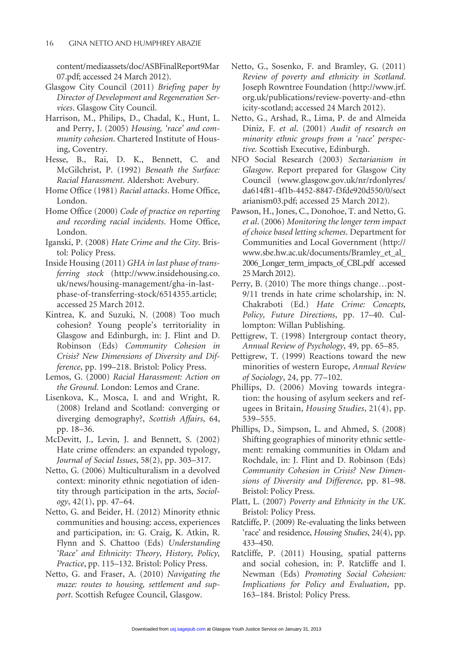content/mediaassets/doc/ASBFinalReport9Mar 07.pdf; accessed 24 March 2012).

- Glasgow City Council (2011) Briefing paper by Director of Development and Regeneration Services. Glasgow City Council.
- Harrison, M., Philips, D., Chadal, K., Hunt, L. and Perry, J. (2005) Housing, 'race' and community cohesion. Chartered Institute of Housing, Coventry.
- Hesse, B., Rai, D. K., Bennett, C. and McGilchrist, P. (1992) Beneath the Surface: Racial Harassment. Aldershot: Avebury.
- Home Office (1981) Racial attacks. Home Office, London.
- Home Office (2000) Code of practice on reporting and recording racial incidents. Home Office, London.
- Iganski, P. (2008) Hate Crime and the City. Bristol: Policy Press.
- Inside Housing (2011) GHA in last phase of transferring stock (http://www.insidehousing.co. uk/news/housing-management/gha-in-lastphase-of-transferring-stock/6514355.article; accessed 25 March 2012.
- Kintrea, K. and Suzuki, N. (2008) Too much cohesion? Young people's territoriality in Glasgow and Edinburgh, in: J. Flint and D. Robinson (Eds) Community Cohesion in Crisis? New Dimensions of Diversity and Difference, pp. 199–218. Bristol: Policy Press.
- Lemos, G. (2000) Racial Harassment: Action on the Ground. London: Lemos and Crane.
- Lisenkova, K., Mosca, I. and and Wright, R. (2008) Ireland and Scotland: converging or diverging demography?, Scottish Affairs, 64, pp. 18–36.
- McDevitt, J., Levin, J. and Bennett, S. (2002) Hate crime offenders: an expanded typology, Journal of Social Issues, 58(2), pp. 303–317.
- Netto, G. (2006) Multiculturalism in a devolved context: minority ethnic negotiation of identity through participation in the arts, Sociology, 42(1), pp. 47–64.
- Netto, G. and Beider, H. (2012) Minority ethnic communities and housing: access, experiences and participation, in: G. Crai[g,](http://usj.sagepub.com/) [K.](http://usj.sagepub.com/) [Atkin](http://usj.sagepub.com/), R. Flynn and S. Chattoo (Eds) Understanding 'Race' and Ethnicity: Theory, History, Policy, Practice, pp. 115–132. Bristol: Policy Press.
- Netto, G. and Fraser, A. (2010) Navigating the maze: routes to housing, settlement and support. Scottish Refugee Council, Glasgow.
- Netto, G., Sosenko, F. and Bramley, G. (2011) Review of poverty and ethnicity in Scotland. Joseph Rowntree Foundation (http://www.jrf. org.uk/publications/review-poverty-and-ethn icity-scotland; accessed 24 March 2012).
- Netto, G., Arshad, R., Lima, P. de and Almeida Diniz, F. et al. (2001) Audit of research on minority ethnic groups from a 'race' perspective. Scottish Executive, Edinburgh.
- NFO Social Research (2003) Sectarianism in Glasgow. Report prepared for Glasgow City Council (www.glasgow.gov.uk/nr/rdonlyres/ da614f81-4f1b-4452-8847-f3fde920d550/0/sect arianism03.pdf; accessed 25 March 2012).
- Pawson, H., Jones, C., Donohoe, T. and Netto, G. et al. (2006) Monitoring the longer term impact of choice based letting schemes. Department for Communities and Local Government (http:// www.sbe.hw.ac.uk/documents/Bramley\_et\_al\_ 2006\_Longer\_term\_impacts\_of\_CBL.pdf accessed 25 March 2012).
- Perry, B. (2010) The more things change...post-9/11 trends in hate crime scholarship, in: N. Chakraboti (Ed.) Hate Crime: Concepts, Policy, Future Directions, pp. 17–40. Cullompton: Willan Publishing.
- Pettigrew, T. (1998) Intergroup contact theory, Annual Review of Psychology, 49, pp. 65–85.
- Pettigrew, T. (1999) Reactions toward the new minorities of western Europe, Annual Review of Sociology, 24, pp. 77–102.
- Phillips, D. (2006) Moving towards integration: the housing of asylum seekers and refugees in Britain, Housing Studies, 21(4), pp. 539–555.
- Phillips, D., Simpson, L. and Ahmed, S. (2008) Shifting geographies of minority ethnic settlement: remaking communities in Oldam and Rochdale, in: J. Flint and D. Robinson (Eds) Community Cohesion in Crisis? New Dimensions of Diversity and Difference, pp. 81–98. Bristol: Policy Press.
- Platt, L. (2007) Poverty and Ethnicity in the UK. Bristol: Policy Press.
- Ratcliffe, P. (2009) Re-evaluating the links between 'race' and residence, Housing Studies, 24(4), pp. 433–450.
- Ratcliffe, P. (2011) Housing, spatial patterns and social cohesion, in: P. Ratcliffe and I. Newman (Eds) Promoting Social Cohesion: Implications for Policy and Evaluation, pp. 163–184. Bristol: Policy Press.